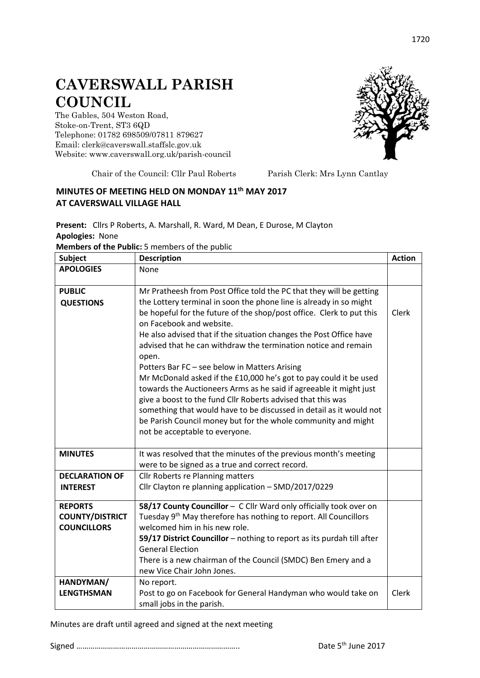## **CAVERSWALL PARISH COUNCIL**

The Gables, 504 Weston Road, Stoke-on-Trent, ST3 6QD Telephone: 01782 698509/07811 879627 Email: clerk@caverswall.staffslc.gov.uk Website: [www.c](http://www.dilhorneparishcouncil.co.uk/)averswall.org.uk/parish-council



Chair of the Council: Cllr Paul Roberts Parish Clerk: Mrs Lynn Cantlay

## **MINUTES OF MEETING HELD ON MONDAY 11th MAY 2017 AT CAVERSWALL VILLAGE HALL**

**Present:** Cllrs P Roberts, A. Marshall, R. Ward, M Dean, E Durose, M Clayton **Apologies:** None

**Members of the Public:** 5 members of the public

| <b>Subject</b>         | <b>Description</b>                                                                               | <b>Action</b> |
|------------------------|--------------------------------------------------------------------------------------------------|---------------|
| <b>APOLOGIES</b>       | None                                                                                             |               |
|                        |                                                                                                  |               |
| <b>PUBLIC</b>          | Mr Pratheesh from Post Office told the PC that they will be getting                              |               |
| <b>QUESTIONS</b>       | the Lottery terminal in soon the phone line is already in so might                               |               |
|                        | be hopeful for the future of the shop/post office. Clerk to put this<br>on Facebook and website. | Clerk         |
|                        | He also advised that if the situation changes the Post Office have                               |               |
|                        | advised that he can withdraw the termination notice and remain<br>open.                          |               |
|                        | Potters Bar FC - see below in Matters Arising                                                    |               |
|                        | Mr McDonald asked if the £10,000 he's got to pay could it be used                                |               |
|                        | towards the Auctioneers Arms as he said if agreeable it might just                               |               |
|                        | give a boost to the fund Cllr Roberts advised that this was                                      |               |
|                        | something that would have to be discussed in detail as it would not                              |               |
|                        | be Parish Council money but for the whole community and might                                    |               |
|                        | not be acceptable to everyone.                                                                   |               |
|                        |                                                                                                  |               |
| <b>MINUTES</b>         | It was resolved that the minutes of the previous month's meeting                                 |               |
|                        | were to be signed as a true and correct record.                                                  |               |
| <b>DECLARATION OF</b>  | <b>Cllr Roberts re Planning matters</b>                                                          |               |
| <b>INTEREST</b>        | Cllr Clayton re planning application - SMD/2017/0229                                             |               |
| <b>REPORTS</b>         | 58/17 County Councillor - C Cllr Ward only officially took over on                               |               |
| <b>COUNTY/DISTRICT</b> | Tuesday 9 <sup>th</sup> May therefore has nothing to report. All Councillors                     |               |
| <b>COUNCILLORS</b>     | welcomed him in his new role.                                                                    |               |
|                        | 59/17 District Councillor - nothing to report as its purdah till after                           |               |
|                        | <b>General Election</b>                                                                          |               |
|                        | There is a new chairman of the Council (SMDC) Ben Emery and a                                    |               |
|                        | new Vice Chair John Jones.                                                                       |               |
| HANDYMAN/              | No report.                                                                                       |               |
| <b>LENGTHSMAN</b>      | Post to go on Facebook for General Handyman who would take on                                    | Clerk         |
|                        | small jobs in the parish.                                                                        |               |

Minutes are draft until agreed and signed at the next meeting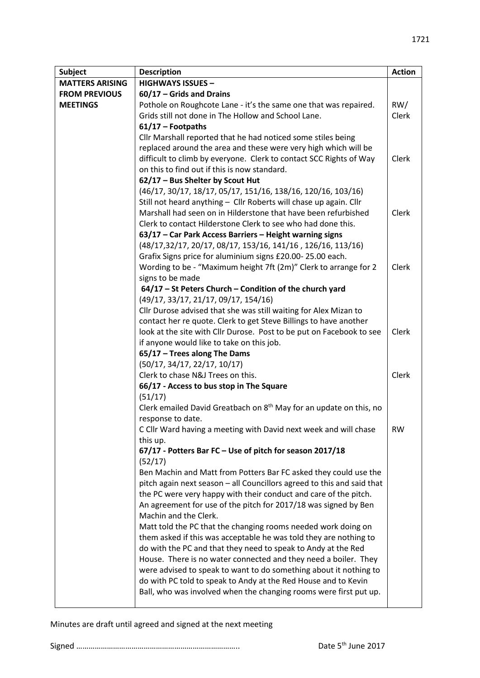| <b>Subject</b>         | <b>Description</b>                                                             | <b>Action</b> |
|------------------------|--------------------------------------------------------------------------------|---------------|
| <b>MATTERS ARISING</b> | <b>HIGHWAYS ISSUES -</b>                                                       |               |
| <b>FROM PREVIOUS</b>   | $60/17$ – Grids and Drains                                                     |               |
| <b>MEETINGS</b>        | Pothole on Roughcote Lane - it's the same one that was repaired.               | RW/           |
|                        | Grids still not done in The Hollow and School Lane.                            | Clerk         |
|                        | $61/17$ - Footpaths                                                            |               |
|                        | Cllr Marshall reported that he had noticed some stiles being                   |               |
|                        | replaced around the area and these were very high which will be                |               |
|                        | difficult to climb by everyone. Clerk to contact SCC Rights of Way             | Clerk         |
|                        | on this to find out if this is now standard.                                   |               |
|                        | 62/17 - Bus Shelter by Scout Hut                                               |               |
|                        | (46/17, 30/17, 18/17, 05/17, 151/16, 138/16, 120/16, 103/16)                   |               |
|                        | Still not heard anything - Cllr Roberts will chase up again. Cllr              |               |
|                        | Marshall had seen on in Hilderstone that have been refurbished                 | Clerk         |
|                        | Clerk to contact Hilderstone Clerk to see who had done this.                   |               |
|                        | 63/17 – Car Park Access Barriers – Height warning signs                        |               |
|                        | (48/17,32/17, 20/17, 08/17, 153/16, 141/16, 126/16, 113/16)                    |               |
|                        | Grafix Signs price for aluminium signs £20.00-25.00 each.                      |               |
|                        | Wording to be - "Maximum height 7ft (2m)" Clerk to arrange for 2               | <b>Clerk</b>  |
|                        | signs to be made                                                               |               |
|                        | 64/17 - St Peters Church - Condition of the church yard                        |               |
|                        | (49/17, 33/17, 21/17, 09/17, 154/16)                                           |               |
|                        | Cllr Durose advised that she was still waiting for Alex Mizan to               |               |
|                        | contact her re quote. Clerk to get Steve Billings to have another              |               |
|                        | look at the site with Cllr Durose. Post to be put on Facebook to see           | Clerk         |
|                        | if anyone would like to take on this job.                                      |               |
|                        | 65/17 - Trees along The Dams                                                   |               |
|                        | (50/17, 34/17, 22/17, 10/17)                                                   |               |
|                        | Clerk to chase N&J Trees on this.                                              | Clerk         |
|                        | 66/17 - Access to bus stop in The Square                                       |               |
|                        | (51/17)                                                                        |               |
|                        | Clerk emailed David Greatbach on 8 <sup>th</sup> May for an update on this, no |               |
|                        | response to date.                                                              |               |
|                        | C Cllr Ward having a meeting with David next week and will chase               | RW            |
|                        | this up.<br>67/17 - Potters Bar FC - Use of pitch for season 2017/18           |               |
|                        | (52/17)                                                                        |               |
|                        | Ben Machin and Matt from Potters Bar FC asked they could use the               |               |
|                        | pitch again next season - all Councillors agreed to this and said that         |               |
|                        | the PC were very happy with their conduct and care of the pitch.               |               |
|                        | An agreement for use of the pitch for 2017/18 was signed by Ben                |               |
|                        | Machin and the Clerk.                                                          |               |
|                        | Matt told the PC that the changing rooms needed work doing on                  |               |
|                        | them asked if this was acceptable he was told they are nothing to              |               |
|                        | do with the PC and that they need to speak to Andy at the Red                  |               |
|                        | House. There is no water connected and they need a boiler. They                |               |
|                        | were advised to speak to want to do something about it nothing to              |               |
|                        | do with PC told to speak to Andy at the Red House and to Kevin                 |               |
|                        | Ball, who was involved when the changing rooms were first put up.              |               |
|                        |                                                                                |               |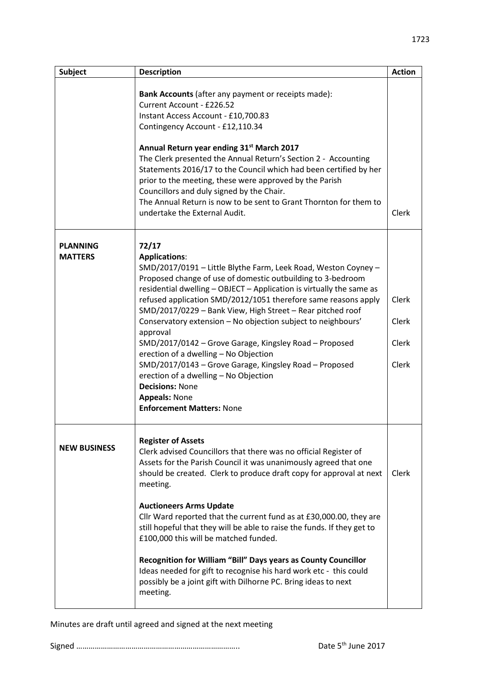| <b>Subject</b>                    | <b>Description</b>                                                                                                                                                                                                                                                                                                                                                                                                                                                                                                                                                                                                                                                                                                                             | <b>Action</b>                           |
|-----------------------------------|------------------------------------------------------------------------------------------------------------------------------------------------------------------------------------------------------------------------------------------------------------------------------------------------------------------------------------------------------------------------------------------------------------------------------------------------------------------------------------------------------------------------------------------------------------------------------------------------------------------------------------------------------------------------------------------------------------------------------------------------|-----------------------------------------|
|                                   | Bank Accounts (after any payment or receipts made):<br>Current Account - £226.52<br>Instant Access Account - £10,700.83<br>Contingency Account - £12,110.34<br>Annual Return year ending 31 <sup>st</sup> March 2017<br>The Clerk presented the Annual Return's Section 2 - Accounting<br>Statements 2016/17 to the Council which had been certified by her<br>prior to the meeting, these were approved by the Parish<br>Councillors and duly signed by the Chair.<br>The Annual Return is now to be sent to Grant Thornton for them to<br>undertake the External Audit.                                                                                                                                                                      | <b>Clerk</b>                            |
| <b>PLANNING</b><br><b>MATTERS</b> | 72/17<br><b>Applications:</b><br>SMD/2017/0191 - Little Blythe Farm, Leek Road, Weston Coyney -<br>Proposed change of use of domestic outbuilding to 3-bedroom<br>residential dwelling - OBJECT - Application is virtually the same as<br>refused application SMD/2012/1051 therefore same reasons apply<br>SMD/2017/0229 - Bank View, High Street - Rear pitched roof<br>Conservatory extension - No objection subject to neighbours'<br>approval<br>SMD/2017/0142 - Grove Garage, Kingsley Road - Proposed<br>erection of a dwelling - No Objection<br>SMD/2017/0143 - Grove Garage, Kingsley Road - Proposed<br>erection of a dwelling - No Objection<br><b>Decisions: None</b><br><b>Appeals: None</b><br><b>Enforcement Matters: None</b> | <b>Clerk</b><br>Clerk<br>Clerk<br>Clerk |
| <b>NEW BUSINESS</b>               | <b>Register of Assets</b><br>Clerk advised Councillors that there was no official Register of<br>Assets for the Parish Council it was unanimously agreed that one<br>should be created. Clerk to produce draft copy for approval at next<br>meeting.<br><b>Auctioneers Arms Update</b><br>Cllr Ward reported that the current fund as at £30,000.00, they are<br>still hopeful that they will be able to raise the funds. If they get to<br>£100,000 this will be matched funded.<br>Recognition for William "Bill" Days years as County Councillor<br>Ideas needed for gift to recognise his hard work etc - this could<br>possibly be a joint gift with Dilhorne PC. Bring ideas to next<br>meeting.                                         | Clerk                                   |